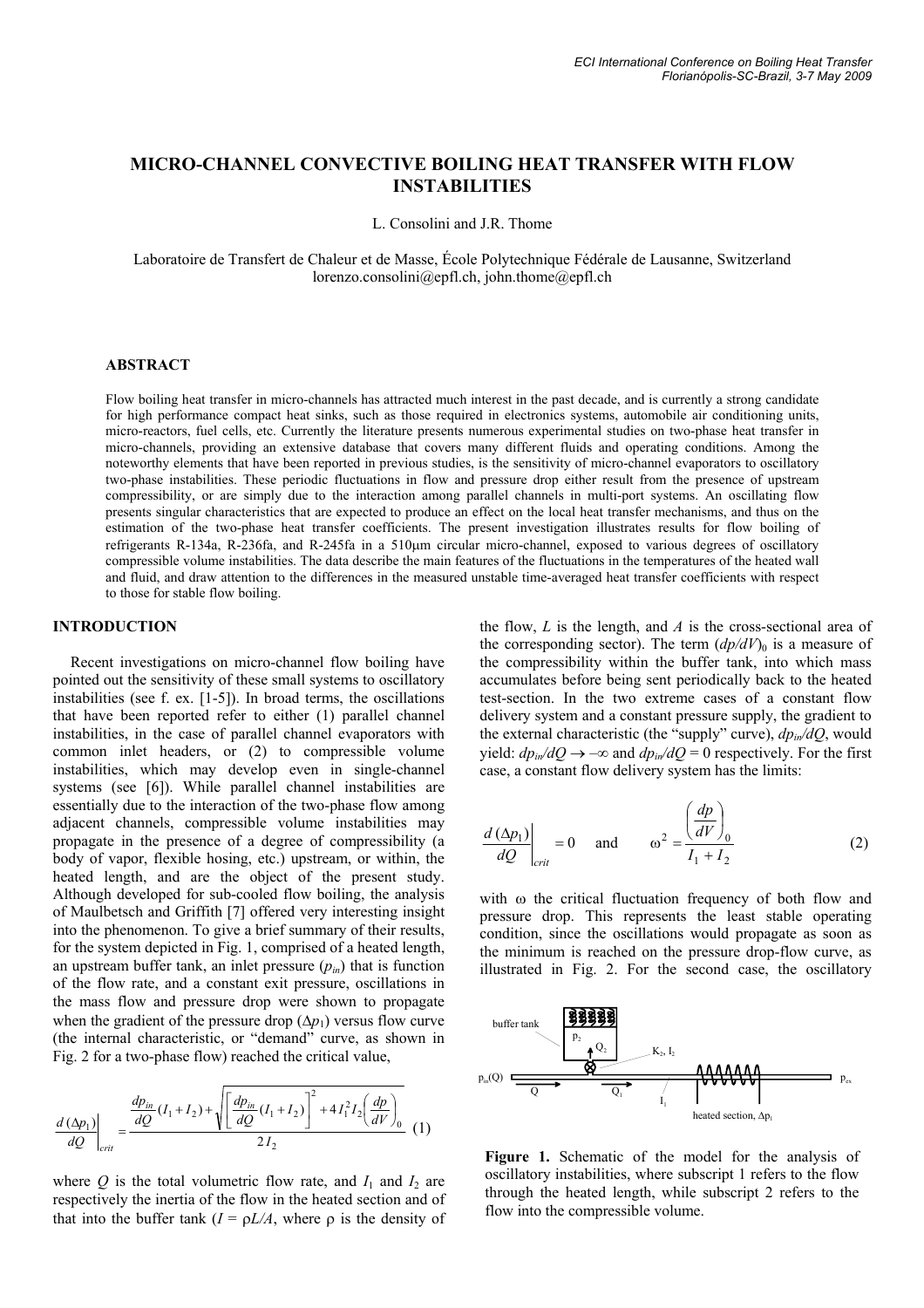# **MICRO-CHANNEL CONVECTIVE BOILING HEAT TRANSFER WITH FLOW INSTABILITIES**

L. Consolini and J.R. Thome

Laboratoire de Transfert de Chaleur et de Masse, École Polytechnique Fédérale de Lausanne, Switzerland lorenzo.consolini@epfl.ch, john.thome@epfl.ch

#### **ABSTRACT**

Flow boiling heat transfer in micro-channels has attracted much interest in the past decade, and is currently a strong candidate for high performance compact heat sinks, such as those required in electronics systems, automobile air conditioning units, micro-reactors, fuel cells, etc. Currently the literature presents numerous experimental studies on two-phase heat transfer in micro-channels, providing an extensive database that covers many different fluids and operating conditions. Among the noteworthy elements that have been reported in previous studies, is the sensitivity of micro-channel evaporators to oscillatory two-phase instabilities. These periodic fluctuations in flow and pressure drop either result from the presence of upstream compressibility, or are simply due to the interaction among parallel channels in multi-port systems. An oscillating flow presents singular characteristics that are expected to produce an effect on the local heat transfer mechanisms, and thus on the estimation of the two-phase heat transfer coefficients. The present investigation illustrates results for flow boiling of refrigerants R-134a, R-236fa, and R-245fa in a 510μm circular micro-channel, exposed to various degrees of oscillatory compressible volume instabilities. The data describe the main features of the fluctuations in the temperatures of the heated wall and fluid, and draw attention to the differences in the measured unstable time-averaged heat transfer coefficients with respect to those for stable flow boiling.

#### **INTRODUCTION**

Recent investigations on micro-channel flow boiling have pointed out the sensitivity of these small systems to oscillatory instabilities (see f. ex. [1-5]). In broad terms, the oscillations that have been reported refer to either (1) parallel channel instabilities, in the case of parallel channel evaporators with common inlet headers, or (2) to compressible volume instabilities, which may develop even in single-channel systems (see [6]). While parallel channel instabilities are essentially due to the interaction of the two-phase flow among adjacent channels, compressible volume instabilities may propagate in the presence of a degree of compressibility (a body of vapor, flexible hosing, etc.) upstream, or within, the heated length, and are the object of the present study. Although developed for sub-cooled flow boiling, the analysis of Maulbetsch and Griffith [7] offered very interesting insight into the phenomenon. To give a brief summary of their results, for the system depicted in Fig. 1, comprised of a heated length, an upstream buffer tank, an inlet pressure  $(p_{in})$  that is function of the flow rate, and a constant exit pressure, oscillations in the mass flow and pressure drop were shown to propagate when the gradient of the pressure drop  $(\Delta p_1)$  versus flow curve (the internal characteristic, or "demand" curve, as shown in Fig. 2 for a two-phase flow) reached the critical value,

$$
\frac{d\left(\Delta p_{1}\right)}{dQ}\Biggl|_{crit} = \frac{\frac{dp_{in}}{dQ}\left(I_{1} + I_{2}\right) + \sqrt{\left[\frac{dp_{in}}{dQ}\left(I_{1} + I_{2}\right)\right]^{2} + 4I_{1}^{2}I_{2}\left(\frac{dp}{dV}\right)_{0}}}{2I_{2}}\right] \tag{1}
$$

where  $Q$  is the total volumetric flow rate, and  $I_1$  and  $I_2$  are respectively the inertia of the flow in the heated section and of that into the buffer tank  $(I = \rho L/A)$ , where  $\rho$  is the density of

the flow, *L* is the length, and *A* is the cross-sectional area of the corresponding sector). The term  $(dp/dV)$ <sub>0</sub> is a measure of the compressibility within the buffer tank, into which mass accumulates before being sent periodically back to the heated test-section. In the two extreme cases of a constant flow delivery system and a constant pressure supply, the gradient to the external characteristic (the "supply" curve), *dpin/dQ*, would yield:  $dp_{in}/dQ \rightarrow -\infty$  and  $dp_{in}/dQ = 0$  respectively. For the first case, a constant flow delivery system has the limits:

$$
\frac{d\left(\Delta p_1\right)}{dQ}\bigg|_{crit} = 0 \quad \text{and} \quad \omega^2 = \frac{\left(\frac{dp}{dV}\right)_0}{I_1 + I_2} \tag{2}
$$

with ω the critical fluctuation frequency of both flow and pressure drop. This represents the least stable operating condition, since the oscillations would propagate as soon as the minimum is reached on the pressure drop-flow curve, as illustrated in Fig. 2. For the second case, the oscillatory



**Figure 1.** Schematic of the model for the analysis of oscillatory instabilities, where subscript 1 refers to the flow through the heated length, while subscript 2 refers to the flow into the compressible volume.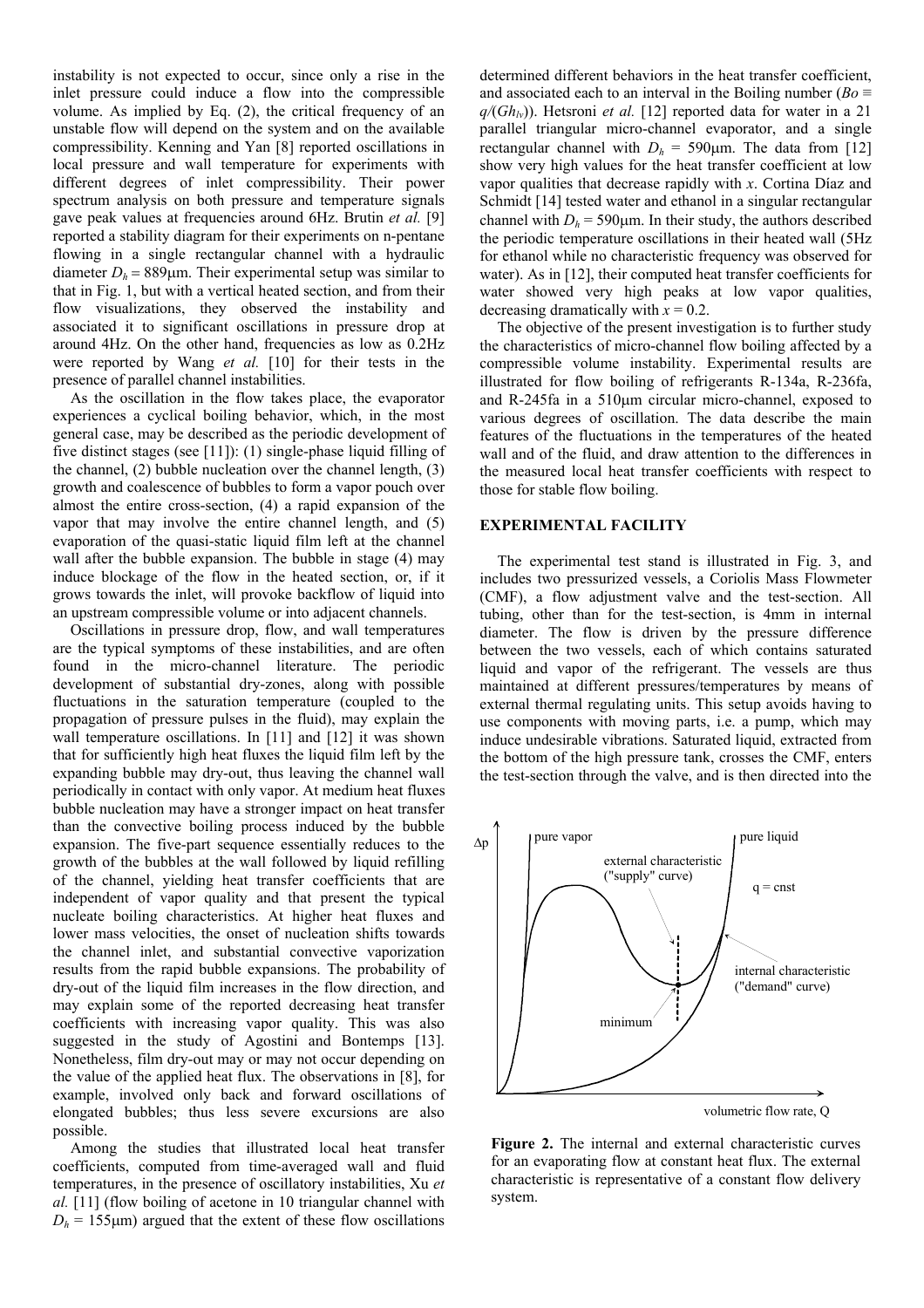instability is not expected to occur, since only a rise in the inlet pressure could induce a flow into the compressible volume. As implied by Eq. (2), the critical frequency of an unstable flow will depend on the system and on the available compressibility. Kenning and Yan [8] reported oscillations in local pressure and wall temperature for experiments with different degrees of inlet compressibility. Their power spectrum analysis on both pressure and temperature signals gave peak values at frequencies around 6Hz. Brutin *et al.* [9] reported a stability diagram for their experiments on n-pentane flowing in a single rectangular channel with a hydraulic diameter  $D_h = 889 \mu m$ . Their experimental setup was similar to that in Fig. 1, but with a vertical heated section, and from their flow visualizations, they observed the instability and associated it to significant oscillations in pressure drop at around 4Hz. On the other hand, frequencies as low as 0.2Hz were reported by Wang *et al.* [10] for their tests in the presence of parallel channel instabilities.

As the oscillation in the flow takes place, the evaporator experiences a cyclical boiling behavior, which, in the most general case, may be described as the periodic development of five distinct stages (see [11]): (1) single-phase liquid filling of the channel, (2) bubble nucleation over the channel length, (3) growth and coalescence of bubbles to form a vapor pouch over almost the entire cross-section, (4) a rapid expansion of the vapor that may involve the entire channel length, and (5) evaporation of the quasi-static liquid film left at the channel wall after the bubble expansion. The bubble in stage (4) may induce blockage of the flow in the heated section, or, if it grows towards the inlet, will provoke backflow of liquid into an upstream compressible volume or into adjacent channels.

Oscillations in pressure drop, flow, and wall temperatures are the typical symptoms of these instabilities, and are often found in the micro-channel literature. The periodic development of substantial dry-zones, along with possible fluctuations in the saturation temperature (coupled to the propagation of pressure pulses in the fluid), may explain the wall temperature oscillations. In [11] and [12] it was shown that for sufficiently high heat fluxes the liquid film left by the expanding bubble may dry-out, thus leaving the channel wall periodically in contact with only vapor. At medium heat fluxes bubble nucleation may have a stronger impact on heat transfer than the convective boiling process induced by the bubble expansion. The five-part sequence essentially reduces to the growth of the bubbles at the wall followed by liquid refilling of the channel, yielding heat transfer coefficients that are independent of vapor quality and that present the typical nucleate boiling characteristics. At higher heat fluxes and lower mass velocities, the onset of nucleation shifts towards the channel inlet, and substantial convective vaporization results from the rapid bubble expansions. The probability of dry-out of the liquid film increases in the flow direction, and may explain some of the reported decreasing heat transfer coefficients with increasing vapor quality. This was also suggested in the study of Agostini and Bontemps [13]. Nonetheless, film dry-out may or may not occur depending on the value of the applied heat flux. The observations in [8], for example, involved only back and forward oscillations of elongated bubbles; thus less severe excursions are also possible.

Among the studies that illustrated local heat transfer coefficients, computed from time-averaged wall and fluid temperatures, in the presence of oscillatory instabilities, Xu *et al.* [11] (flow boiling of acetone in 10 triangular channel with  $D_h$  = 155 $\mu$ m) argued that the extent of these flow oscillations

determined different behaviors in the heat transfer coefficient, and associated each to an interval in the Boiling number ( $Bo \equiv$  $q/(Gh_{lv})$ ). Hetsroni *et al.* [12] reported data for water in a 21 parallel triangular micro-channel evaporator, and a single rectangular channel with  $D_h = 590 \mu m$ . The data from [12] show very high values for the heat transfer coefficient at low vapor qualities that decrease rapidly with *x*. Cortina Díaz and Schmidt [14] tested water and ethanol in a singular rectangular channel with  $D_h$  = 590 $\mu$ m. In their study, the authors described the periodic temperature oscillations in their heated wall (5Hz for ethanol while no characteristic frequency was observed for water). As in [12], their computed heat transfer coefficients for water showed very high peaks at low vapor qualities, decreasing dramatically with  $x = 0.2$ .

The objective of the present investigation is to further study the characteristics of micro-channel flow boiling affected by a compressible volume instability. Experimental results are illustrated for flow boiling of refrigerants R-134a, R-236fa, and R-245fa in a 510μm circular micro-channel, exposed to various degrees of oscillation. The data describe the main features of the fluctuations in the temperatures of the heated wall and of the fluid, and draw attention to the differences in the measured local heat transfer coefficients with respect to those for stable flow boiling.

#### **EXPERIMENTAL FACILITY**

The experimental test stand is illustrated in Fig. 3, and includes two pressurized vessels, a Coriolis Mass Flowmeter (CMF), a flow adjustment valve and the test-section. All tubing, other than for the test-section, is 4mm in internal diameter. The flow is driven by the pressure difference between the two vessels, each of which contains saturated liquid and vapor of the refrigerant. The vessels are thus maintained at different pressures/temperatures by means of external thermal regulating units. This setup avoids having to use components with moving parts, i.e. a pump, which may induce undesirable vibrations. Saturated liquid, extracted from the bottom of the high pressure tank, crosses the CMF, enters the test-section through the valve, and is then directed into the



**Figure 2.** The internal and external characteristic curves for an evaporating flow at constant heat flux. The external characteristic is representative of a constant flow delivery system.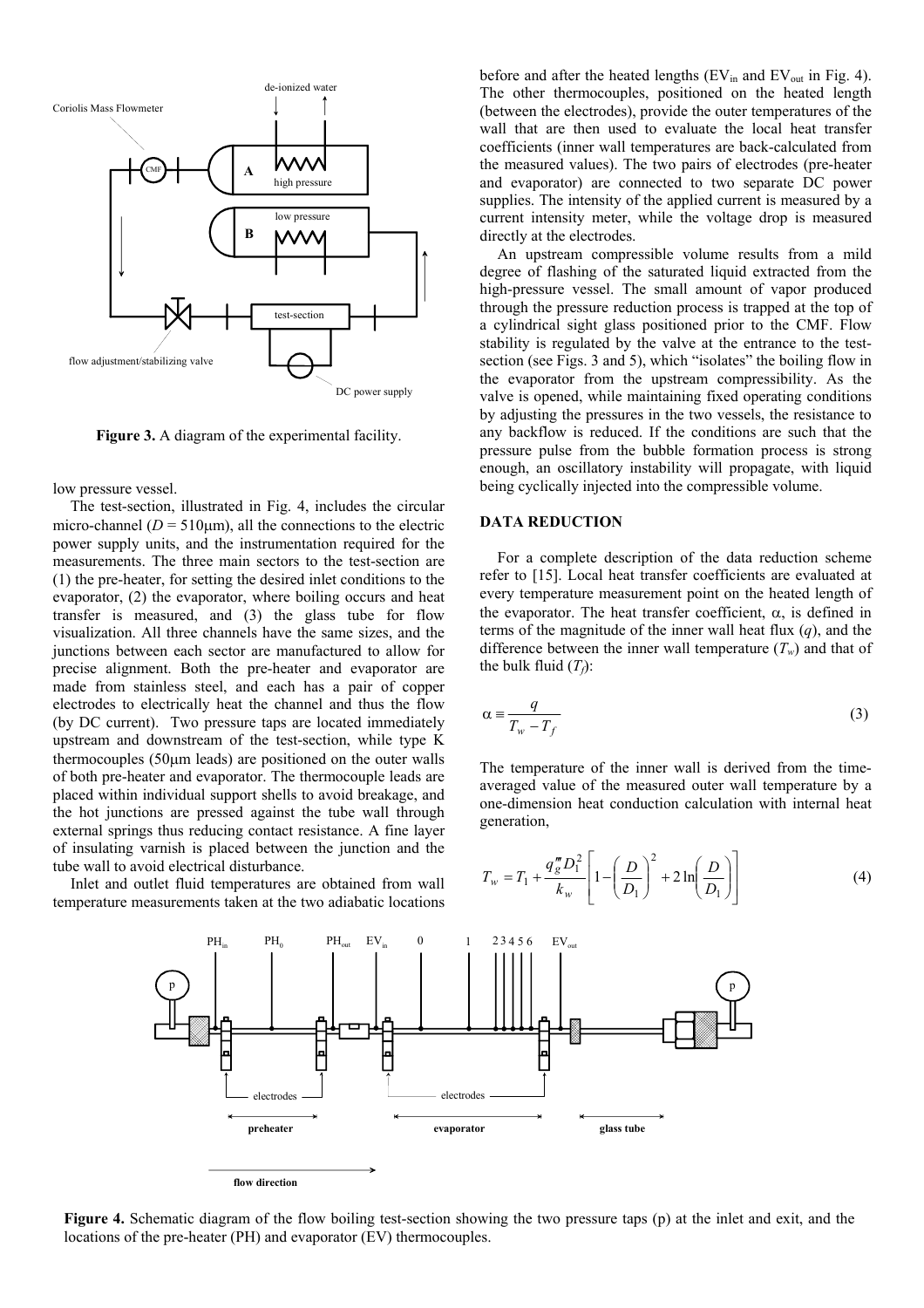

**Figure 3.** A diagram of the experimental facility.

low pressure vessel.

The test-section, illustrated in Fig. 4, includes the circular micro-channel ( $D = 510 \mu m$ ), all the connections to the electric power supply units, and the instrumentation required for the measurements. The three main sectors to the test-section are (1) the pre-heater, for setting the desired inlet conditions to the evaporator, (2) the evaporator, where boiling occurs and heat transfer is measured, and (3) the glass tube for flow visualization. All three channels have the same sizes, and the junctions between each sector are manufactured to allow for precise alignment. Both the pre-heater and evaporator are made from stainless steel, and each has a pair of copper electrodes to electrically heat the channel and thus the flow (by DC current). Two pressure taps are located immediately upstream and downstream of the test-section, while type K thermocouples (50μm leads) are positioned on the outer walls of both pre-heater and evaporator. The thermocouple leads are placed within individual support shells to avoid breakage, and the hot junctions are pressed against the tube wall through external springs thus reducing contact resistance. A fine layer of insulating varnish is placed between the junction and the tube wall to avoid electrical disturbance.

Inlet and outlet fluid temperatures are obtained from wall temperature measurements taken at the two adiabatic locations before and after the heated lengths ( $EV<sub>in</sub>$  and  $EV<sub>out</sub>$  in Fig. 4). The other thermocouples, positioned on the heated length (between the electrodes), provide the outer temperatures of the wall that are then used to evaluate the local heat transfer coefficients (inner wall temperatures are back-calculated from the measured values). The two pairs of electrodes (pre-heater and evaporator) are connected to two separate DC power supplies. The intensity of the applied current is measured by a current intensity meter, while the voltage drop is measured directly at the electrodes.

An upstream compressible volume results from a mild degree of flashing of the saturated liquid extracted from the high-pressure vessel. The small amount of vapor produced through the pressure reduction process is trapped at the top of a cylindrical sight glass positioned prior to the CMF. Flow stability is regulated by the valve at the entrance to the testsection (see Figs. 3 and 5), which "isolates" the boiling flow in the evaporator from the upstream compressibility. As the valve is opened, while maintaining fixed operating conditions by adjusting the pressures in the two vessels, the resistance to any backflow is reduced. If the conditions are such that the pressure pulse from the bubble formation process is strong enough, an oscillatory instability will propagate, with liquid being cyclically injected into the compressible volume.

#### **DATA REDUCTION**

For a complete description of the data reduction scheme refer to [15]. Local heat transfer coefficients are evaluated at every temperature measurement point on the heated length of the evaporator. The heat transfer coefficient,  $\alpha$ , is defined in terms of the magnitude of the inner wall heat flux (*q*), and the difference between the inner wall temperature  $(T_w)$  and that of the bulk fluid  $(T_f)$ :

$$
\alpha \equiv \frac{q}{T_w - T_f} \tag{3}
$$

The temperature of the inner wall is derived from the timeaveraged value of the measured outer wall temperature by a one-dimension heat conduction calculation with internal heat generation,

$$
T_w = T_1 + \frac{q_{g}^{m} D_1^2}{k_w} \left[ 1 - \left(\frac{D}{D_1}\right)^2 + 2 \ln\left(\frac{D}{D_1}\right) \right]
$$
 (4)



**Figure 4.** Schematic diagram of the flow boiling test-section showing the two pressure taps (p) at the inlet and exit, and the locations of the pre-heater (PH) and evaporator (EV) thermocouples.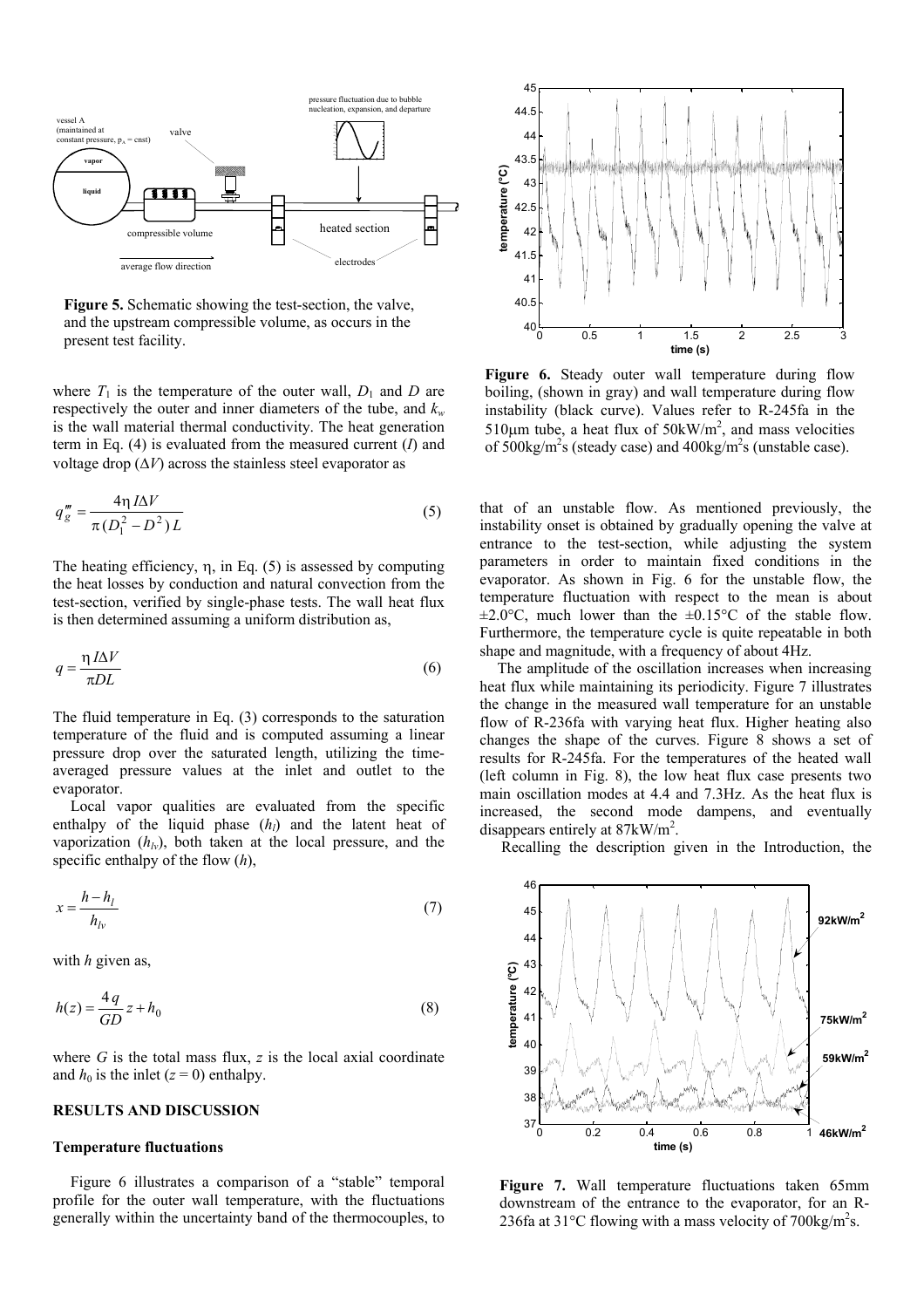

**Figure 5.** Schematic showing the test-section, the valve, and the upstream compressible volume, as occurs in the present test facility.  $\frac{1}{2}$   $\frac{1}{2}$   $\frac{1}{2}$  2.5

where  $T_1$  is the temperature of the outer wall,  $D_1$  and  $D$  are respectively the outer and inner diameters of the tube, and  $k_w$ is the wall material thermal conductivity. The heat generation term in Eq. (4) is evaluated from the measured current (*I*) and voltage drop  $(\Delta V)$  across the stainless steel evaporator as

$$
q_g''' = \frac{4\eta I\Delta V}{\pi (D_1^2 - D^2)L}
$$
\n<sup>(5)</sup>

The heating efficiency,  $\eta$ , in Eq. (5) is assessed by computing the heat losses by conduction and natural convection from the test-section, verified by single-phase tests. The wall heat flux is then determined assuming a uniform distribution as,

$$
q = \frac{\eta I \Delta V}{\pi D L} \tag{6}
$$

The fluid temperature in Eq. (3) corresponds to the saturation temperature of the fluid and is computed assuming a linear pressure drop over the saturated length, utilizing the timeaveraged pressure values at the inlet and outlet to the evaporator.

Local vapor qualities are evaluated from the specific enthalpy of the liquid phase  $(h<sub>l</sub>)$  and the latent heat of vaporization  $(h_{l\nu})$ , both taken at the local pressure, and the specific enthalpy of the flow (*h*),

$$
x = \frac{h - h_l}{h_{lv}}\tag{7}
$$

with *h* given as,

$$
h(z) = \frac{4q}{GD} z + h_0 \tag{8}
$$

where  $G$  is the total mass flux,  $z$  is the local axial coordinate and  $h_0$  is the inlet  $(z = 0)$  enthalpy.

#### **RESULTS AND DISCUSSION**

### **Temperature fluctuations**

Figure 6 illustrates a comparison of a "stable" temporal profile for the outer wall temperature, with the fluctuations generally within the uncertainty band of the thermocouples, to



Figure 6. Steady outer wall temperature during flow boiling, (shown in gray) and wall temperature during flow instability (black curve). Values refer to R-245fa in the 510 $\mu$ m tube, a heat flux of 50 $k$ W/m<sup>2</sup>, and mass velocities of 500kg/m<sup>2</sup>s (steady case) and  $400$ kg/m<sup>2</sup>s (unstable case).

that of an unstable flow. As mentioned previously, the instability onset is obtained by gradually opening the valve at entrance to the test-section, while adjusting the system parameters in order to maintain fixed conditions in the evaporator. As shown in Fig. 6 for the unstable flow, the temperature fluctuation with respect to the mean is about  $\pm 2.0$ °C, much lower than the  $\pm 0.15$ °C of the stable flow. Furthermore, the temperature cycle is quite repeatable in both shape and magnitude, with a frequency of about 4Hz.

The amplitude of the oscillation increases when increasing heat flux while maintaining its periodicity. Figure 7 illustrates the change in the measured wall temperature for an unstable flow of R-236fa with varying heat flux. Higher heating also changes the shape of the curves. Figure 8 shows a set of results for R-245fa. For the temperatures of the heated wall (left column in Fig. 8), the low heat flux case presents two main oscillation modes at 4.4 and 7.3Hz. As the heat flux is increased, the second mode dampens, and eventually disappears entirely at  $87 \text{kW/m}^2$ .

Recalling the description given in the Introduction, the



**Figure 7.** Wall temperature fluctuations taken 65mm downstream of the entrance to the evaporator, for an R-236fa at 31°C flowing with a mass velocity of 700kg/m<sup>2</sup>s.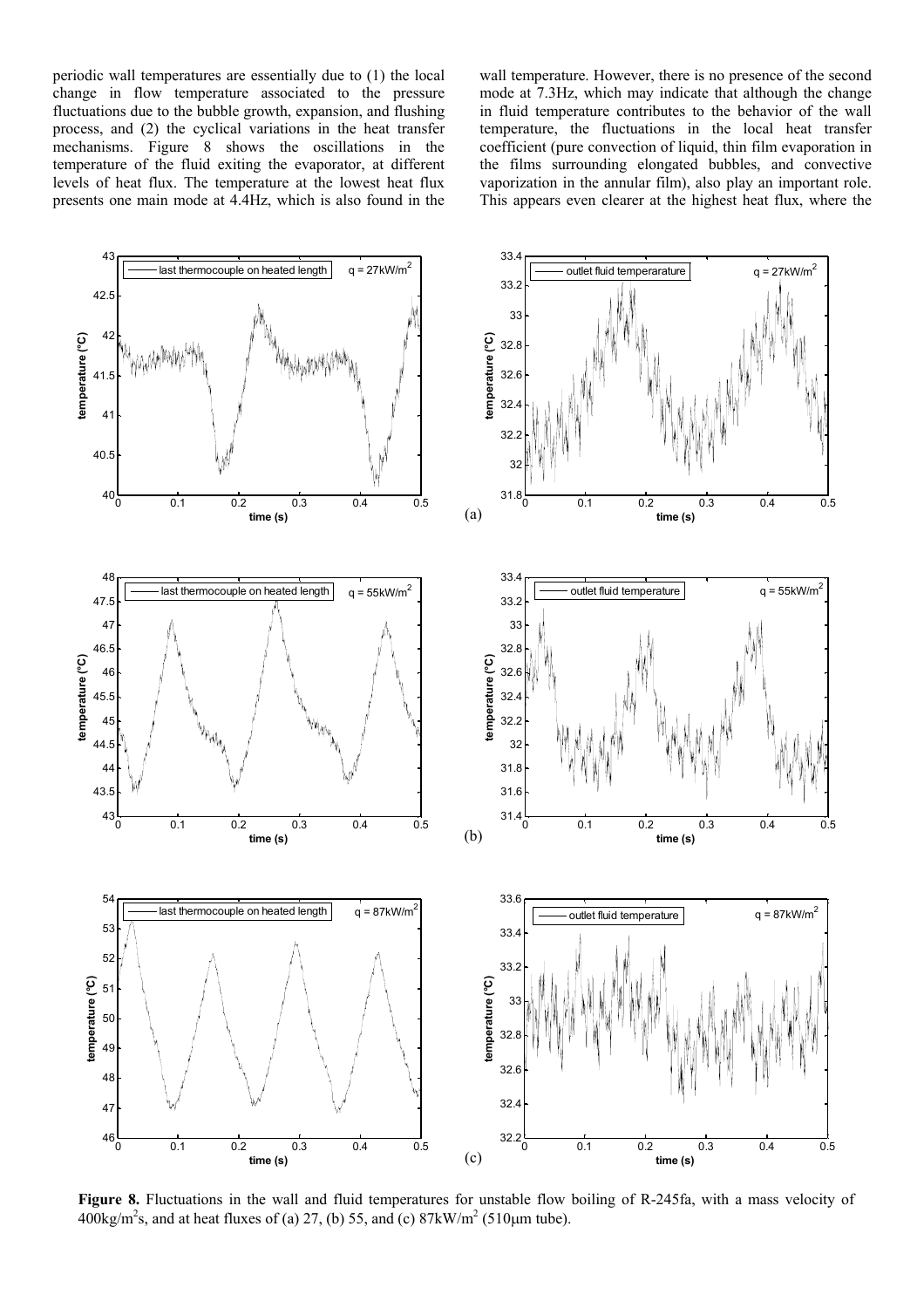periodic wall temperatures are essentially due to (1) the local change in flow temperature associated to the pressure fluctuations due to the bubble growth, expansion, and flushing process, and (2) the cyclical variations in the heat transfer mechanisms. Figure 8 shows the oscillations in the temperature of the fluid exiting the evaporator, at different levels of heat flux. The temperature at the lowest heat flux presents one main mode at 4.4Hz, which is also found in the wall temperature. However, there is no presence of the second mode at 7.3Hz, which may indicate that although the change in fluid temperature contributes to the behavior of the wall temperature, the fluctuations in the local heat transfer coefficient (pure convection of liquid, thin film evaporation in the films surrounding elongated bubbles, and convective vaporization in the annular film), also play an important role. This appears even clearer at the highest heat flux, where the



**Figure 8.** Fluctuations in the wall and fluid temperatures for unstable flow boiling of R-245fa, with a mass velocity of  $400\text{kg/m}^2\text{s}$ , and at heat fluxes of (a) 27, (b) 55, and (c)  $87\text{kW/m}^2$  (510 $\mu$ m tube).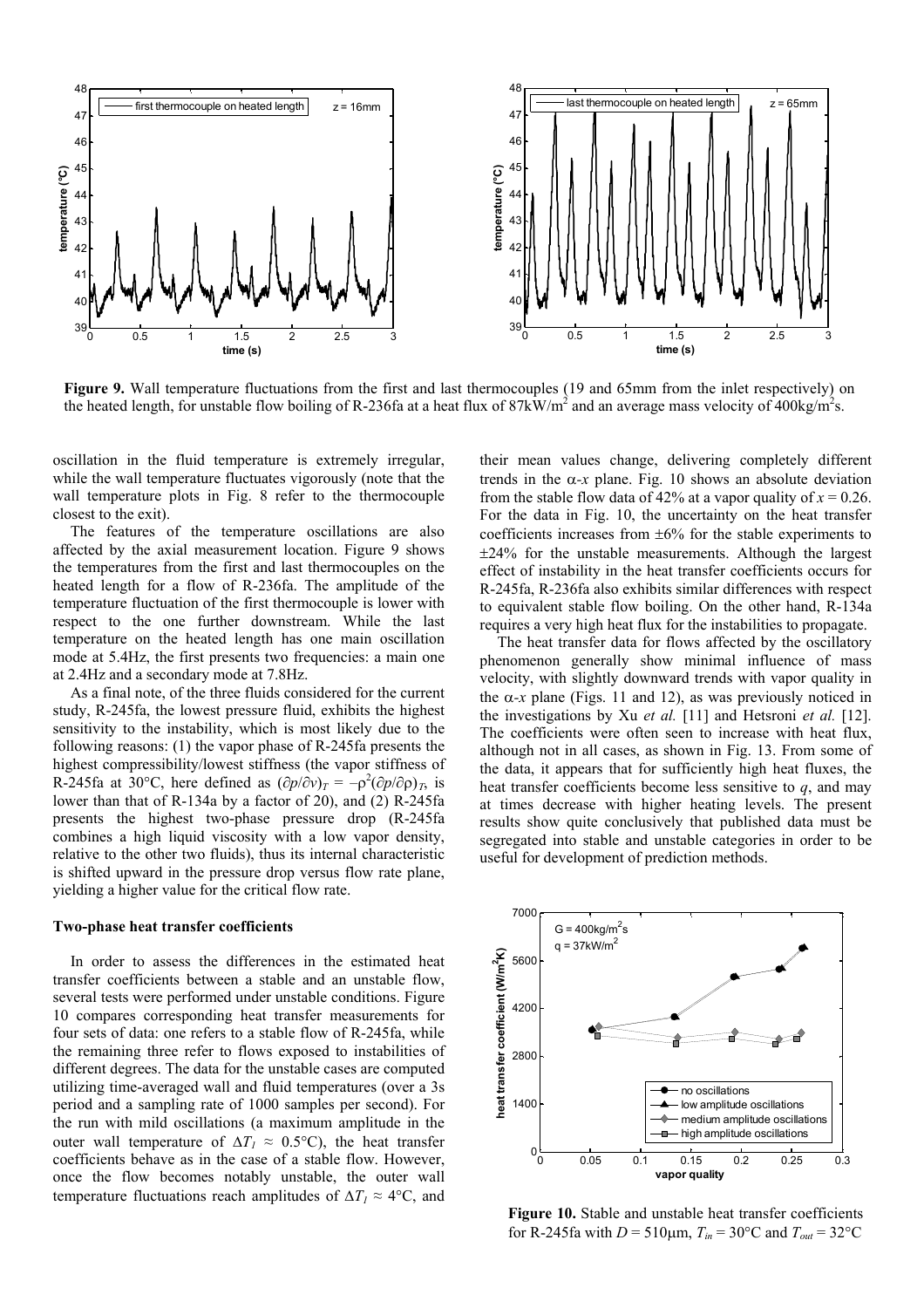

**Figure 9.** Wall temperature fluctuations from the first and last thermocouples (19 and 65mm from the inlet respectively) on the heated length, for unstable flow boiling of R-236fa at a heat flux of  $87kW/m^2$  and an average mass velocity of  $400kg/m^2s$ .

oscillation in the fluid temperature is extremely irregular, while the wall temperature fluctuates vigorously (note that the wall temperature plots in Fig. 8 refer to the thermocouple closest to the exit).

The features of the temperature oscillations are also affected by the axial measurement location. Figure 9 shows the temperatures from the first and last thermocouples on the heated length for a flow of R-236fa. The amplitude of the temperature fluctuation of the first thermocouple is lower with respect to the one further downstream. While the last temperature on the heated length has one main oscillation mode at 5.4Hz, the first presents two frequencies: a main one at 2.4Hz and a secondary mode at 7.8Hz.

As a final note, of the three fluids considered for the current study, R-245fa, the lowest pressure fluid, exhibits the highest sensitivity to the instability, which is most likely due to the following reasons: (1) the vapor phase of R-245fa presents the highest compressibility/lowest stiffness (the vapor stiffness of R-245fa at 30°C, here defined as  $(\partial p/\partial v)_T = -\rho^2(\partial p/\partial \rho)_T$ , is lower than that of R-134a by a factor of 20), and (2) R-245fa presents the highest two-phase pressure drop (R-245fa combines a high liquid viscosity with a low vapor density, relative to the other two fluids), thus its internal characteristic is shifted upward in the pressure drop versus flow rate plane, yielding a higher value for the critical flow rate.

#### **Two-phase heat transfer coefficients**

In order to assess the differences in the estimated heat transfer coefficients between a stable and an unstable flow, several tests were performed under unstable conditions. Figure 10 compares corresponding heat transfer measurements for four sets of data: one refers to a stable flow of R-245fa, while the remaining three refer to flows exposed to instabilities of different degrees. The data for the unstable cases are computed utilizing time-averaged wall and fluid temperatures (over a 3s period and a sampling rate of 1000 samples per second). For the run with mild oscillations (a maximum amplitude in the outer wall temperature of  $\Delta T_1 \approx 0.5$ °C), the heat transfer coefficients behave as in the case of a stable flow. However, once the flow becomes notably unstable, the outer wall temperature fluctuations reach amplitudes of  $\Delta T_I \approx 4$ °C, and

their mean values change, delivering completely different trends in the  $\alpha$ -*x* plane. Fig. 10 shows an absolute deviation from the stable flow data of 42% at a vapor quality of  $x = 0.26$ . For the data in Fig. 10, the uncertainty on the heat transfer coefficients increases from ±6% for the stable experiments to ±24% for the unstable measurements. Although the largest effect of instability in the heat transfer coefficients occurs for R-245fa, R-236fa also exhibits similar differences with respect to equivalent stable flow boiling. On the other hand, R-134a requires a very high heat flux for the instabilities to propagate.

The heat transfer data for flows affected by the oscillatory phenomenon generally show minimal influence of mass velocity, with slightly downward trends with vapor quality in the  $\alpha$ -*x* plane (Figs. 11 and 12), as was previously noticed in the investigations by Xu *et al.* [11] and Hetsroni *et al.* [12]. The coefficients were often seen to increase with heat flux, although not in all cases, as shown in Fig. 13. From some of the data, it appears that for sufficiently high heat fluxes, the heat transfer coefficients become less sensitive to *q*, and may at times decrease with higher heating levels. The present results show quite conclusively that published data must be segregated into stable and unstable categories in order to be useful for development of prediction methods.



**Figure 10.** Stable and unstable heat transfer coefficients for R-245fa with  $D = 510 \mu m$ ,  $T_{in} = 30^{\circ}$ C and  $T_{out} = 32^{\circ}$ C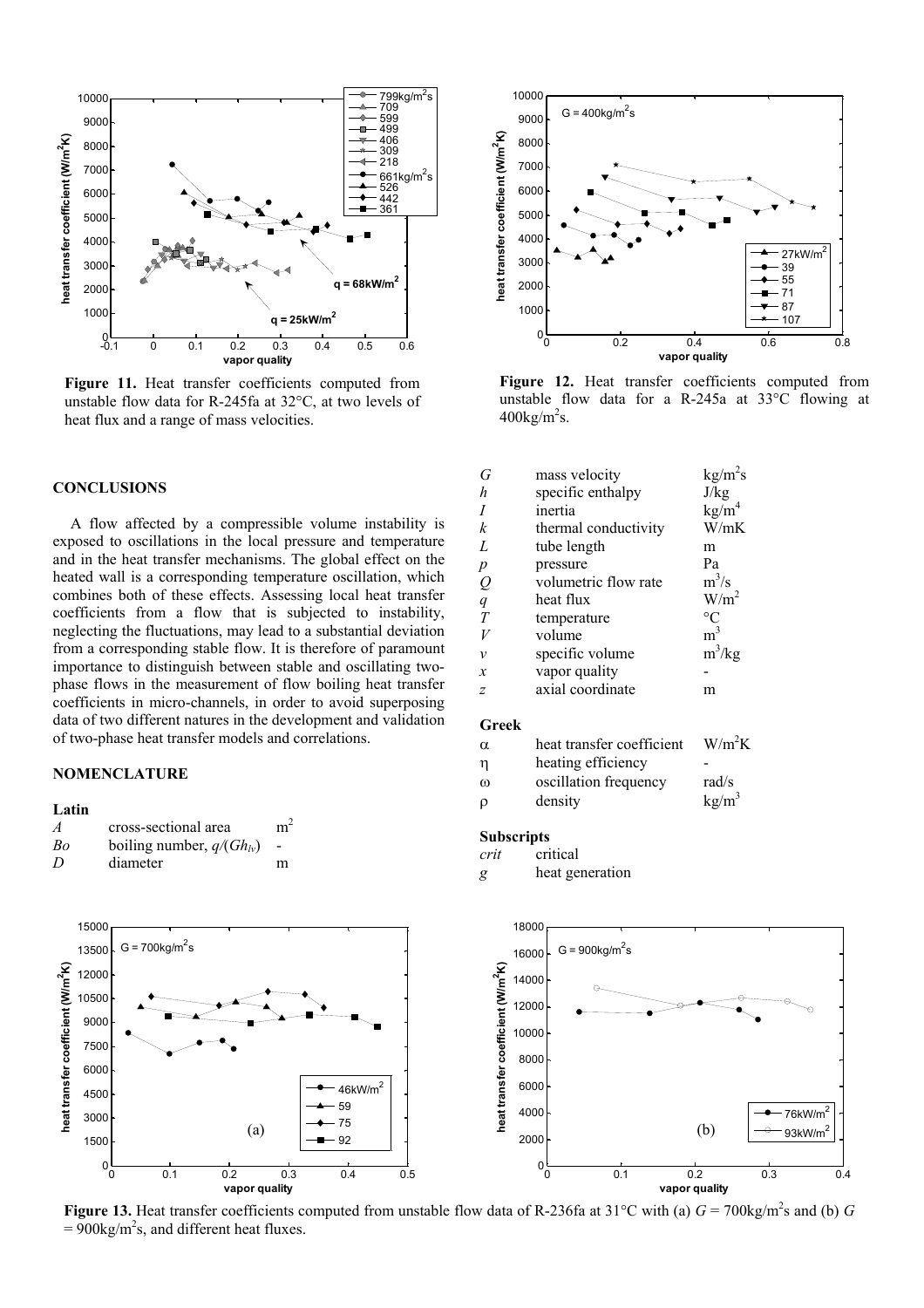

**Figure 11.** Heat transfer coefficients computed from unstable flow data for R-245fa at 32°C, at two levels of heat flux and a range of mass velocities.

### **CONCLUSIONS**

A flow affected by a compressible volume instability is exposed to oscillations in the local pressure and temperature and in the heat transfer mechanisms. The global effect on the heated wall is a corresponding temperature oscillation, which combines both of these effects. Assessing local heat transfer coefficients from a flow that is subjected to instability, neglecting the fluctuations, may lead to a substantial deviation from a corresponding stable flow. It is therefore of paramount importance to distinguish between stable and oscillating twophase flows in the measurement of flow boiling heat transfer coefficients in micro-channels, in order to avoid superposing data of two different natures in the development and validation of two-phase heat transfer models and correlations.

# **NOMENCLATURE**

### **Latin**

| $\overline{A}$ | cross-sectional area          | m <sup>2</sup>           |
|----------------|-------------------------------|--------------------------|
| Bo             | boiling number, $q/(Gh_{lv})$ | $\overline{\phantom{a}}$ |
| D              | diameter                      | m                        |





**Figure 12.** Heat transfer coefficients computed from unstable flow data for a R-245a at 33°C flowing at  $400$ kg/m<sup>2</sup>s.

| G              | mass velocity        | $kg/m^2s$         |
|----------------|----------------------|-------------------|
| h              | specific enthalpy    | J/kg              |
| Ι              | inertia              | kg/m <sup>4</sup> |
| k              | thermal conductivity | W/mK              |
| L              | tube length          | m                 |
| р              | pressure             | Pa                |
| $\varrho$      | volumetric flow rate | $m^3/s$           |
| $\overline{q}$ | heat flux            | W/m <sup>2</sup>  |
| Т              | temperature          | $\rm ^{\circ}C$   |
|                | volume               | m <sup>3</sup>    |
| ν              | specific volume      | $m^3/kg$          |
| x              | vapor quality        |                   |
| Z              | axial coordinate     | m                 |
|                |                      |                   |

# **Greek**

| α | heat transfer coefficient | $W/m^2K$          |
|---|---------------------------|-------------------|
| η | heating efficiency        |                   |
| ω | oscillation frequency     | rad/s             |
| ρ | density                   | kg/m <sup>3</sup> |

#### **Subscripts**

- *crit* critical
- *g* heat generation



**Figure 13.** Heat transfer coefficients computed from unstable flow data of R-236fa at 31°C with (a)  $G = 700 \text{kg/m}^2\text{s}$  and (b)  $G$  $= 900 \text{kg/m}^2 \text{s}$ , and different heat fluxes.